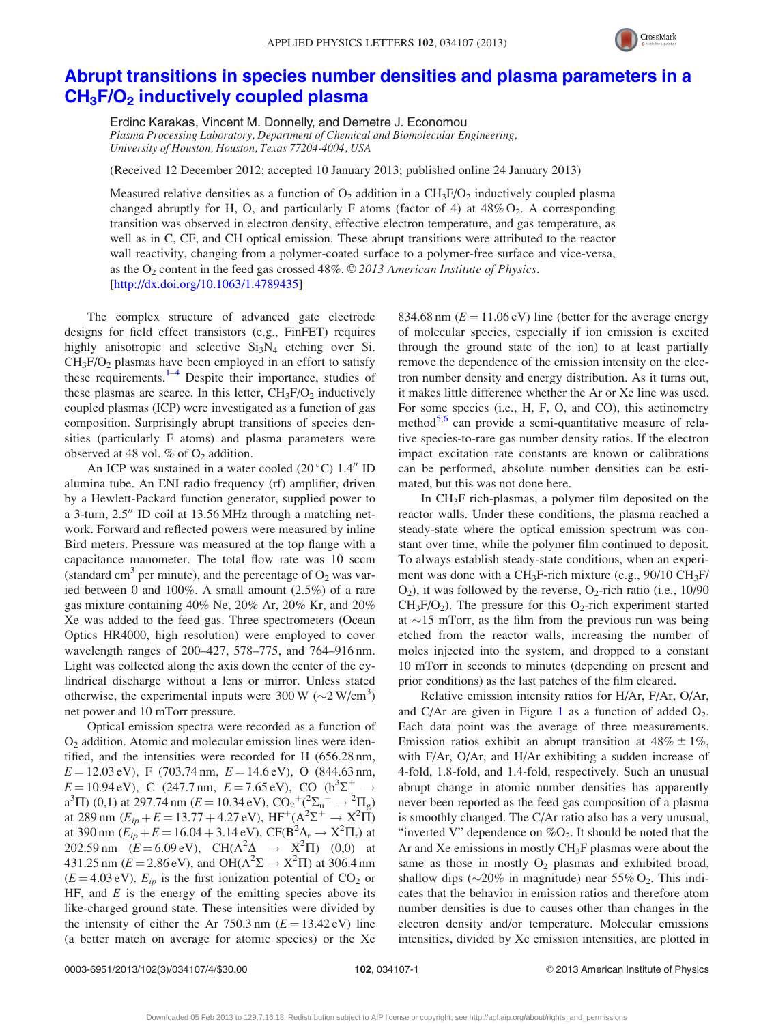

## [Abrupt transitions in species number densities and plasma parameters in a](http://dx.doi.org/10.1063/1.4789435)  $CH<sub>3</sub>F/O<sub>2</sub>$  [inductively coupled plasma](http://dx.doi.org/10.1063/1.4789435)

Erdinc Karakas, Vincent M. Donnelly, and Demetre J. Economou Plasma Processing Laboratory, Department of Chemical and Biomolecular Engineering, University of Houston, Houston, Texas 77204-4004, USA

(Received 12 December 2012; accepted 10 January 2013; published online 24 January 2013)

Measured relative densities as a function of  $O_2$  addition in a CH<sub>3</sub>F/O<sub>2</sub> inductively coupled plasma changed abruptly for H, O, and particularly F atoms (factor of 4) at  $48\%$  O<sub>2</sub>. A corresponding transition was observed in electron density, effective electron temperature, and gas temperature, as well as in C, CF, and CH optical emission. These abrupt transitions were attributed to the reactor wall reactivity, changing from a polymer-coated surface to a polymer-free surface and vice-versa, as the  $O_2$  content in the feed gas crossed 48%.  $\odot$  2013 American Institute of Physics. [\[http://dx.doi.org/10.1063/1.4789435](http://dx.doi.org/10.1063/1.4789435)]

The complex structure of advanced gate electrode designs for field effect transistors (e.g., FinFET) requires highly anisotropic and selective  $Si<sub>3</sub>N<sub>4</sub>$  etching over Si.  $CH<sub>3</sub>F/O<sub>2</sub>$  plasmas have been employed in an effort to satisfy these requirements. $1-4$  Despite their importance, studies of these plasmas are scarce. In this letter,  $CH<sub>3</sub>F/O<sub>2</sub>$  inductively coupled plasmas (ICP) were investigated as a function of gas composition. Surprisingly abrupt transitions of species densities (particularly F atoms) and plasma parameters were observed at 48 vol. % of  $O_2$  addition.

An ICP was sustained in a water cooled  $(20^{\circ}$ C) 1.4" ID alumina tube. An ENI radio frequency (rf) amplifier, driven by a Hewlett-Packard function generator, supplied power to a 3-turn,  $2.5$ <sup>"</sup> ID coil at 13.56 MHz through a matching network. Forward and reflected powers were measured by inline Bird meters. Pressure was measured at the top flange with a capacitance manometer. The total flow rate was 10 sccm (standard cm<sup>3</sup> per minute), and the percentage of  $O_2$  was varied between 0 and 100%. A small amount (2.5%) of a rare gas mixture containing 40% Ne, 20% Ar, 20% Kr, and 20% Xe was added to the feed gas. Three spectrometers (Ocean Optics HR4000, high resolution) were employed to cover wavelength ranges of 200–427, 578–775, and 764–916 nm. Light was collected along the axis down the center of the cylindrical discharge without a lens or mirror. Unless stated otherwise, the experimental inputs were  $300 \,\mathrm{W}$  ( $\sim$ 2 W/cm<sup>3</sup>) net power and 10 mTorr pressure.

Optical emission spectra were recorded as a function of  $O<sub>2</sub>$  addition. Atomic and molecular emission lines were identified, and the intensities were recorded for H (656.28 nm,  $E = 12.03$  eV), F (703.74 nm,  $E = 14.6$  eV), O (844.63 nm,  $E = 10.94 \text{ eV}$ ), C (247.7 nm,  $E = 7.65 \text{ eV}$ ), CO ( $b^3\Sigma^+$   $\rightarrow$  $a^3\Pi$ ) (0,1) at 297.74 nm ( $E = 10.34 \text{ eV}$ ),  $CO_2^+(2\Sigma_u^+ \rightarrow {}^2\Pi_g)$ at 289 nm ( $E_{ip} + E = 13.77 + 4.27 \text{ eV}$ ),  $HF^+(A^2\Sigma^+ \rightarrow X^2 \overline{\Pi})$ at 390 nm ( $E_{ip}^{+} + E = 16.04 + 3.14 \text{ eV}$ ), CF(B<sup>2</sup> $\Delta_r \rightarrow X^2 \Pi_r$ ) at 202.59 nm  $(E = 6.09 \text{ eV})$ , CH( $A^2\Delta \rightarrow X^2\Pi$ ) (0,0) at 431.25 nm ( $E = 2.86 \text{ eV}$ ), and OH( $A^2\Sigma \rightarrow X^2\Pi$ ) at 306.4 nm  $(E = 4.03 \text{ eV})$ .  $E_{ip}$  is the first ionization potential of CO<sub>2</sub> or HF, and  $E$  is the energy of the emitting species above its like-charged ground state. These intensities were divided by the intensity of either the Ar  $750.3$  nm ( $E = 13.42$  eV) line (a better match on average for atomic species) or the Xe 834.68 nm  $(E = 11.06 \text{ eV})$  line (better for the average energy of molecular species, especially if ion emission is excited through the ground state of the ion) to at least partially remove the dependence of the emission intensity on the electron number density and energy distribution. As it turns out, it makes little difference whether the Ar or Xe line was used. For some species (i.e., H, F, O, and CO), this actinometry method $5.6$  can provide a semi-quantitative measure of relative species-to-rare gas number density ratios. If the electron impact excitation rate constants are known or calibrations can be performed, absolute number densities can be estimated, but this was not done here.

In  $CH_3F$  rich-plasmas, a polymer film deposited on the reactor walls. Under these conditions, the plasma reached a steady-state where the optical emission spectrum was constant over time, while the polymer film continued to deposit. To always establish steady-state conditions, when an experiment was done with a  $CH_3F$ -rich mixture (e.g., 90/10  $CH_3F/$  $O_2$ ), it was followed by the reverse,  $O_2$ -rich ratio (i.e., 10/90  $CH_3F/O_2$ ). The pressure for this  $O_2$ -rich experiment started at  $\sim$ 15 mTorr, as the film from the previous run was being etched from the reactor walls, increasing the number of moles injected into the system, and dropped to a constant 10 mTorr in seconds to minutes (depending on present and prior conditions) as the last patches of the film cleared.

Relative emission intensity ratios for H/Ar, F/Ar, O/Ar, and C/Ar are given in Figure [1](#page-1-0) as a function of added  $O_2$ . Each data point was the average of three measurements. Emission ratios exhibit an abrupt transition at  $48\% \pm 1\%$ , with F/Ar, O/Ar, and H/Ar exhibiting a sudden increase of 4-fold, 1.8-fold, and 1.4-fold, respectively. Such an unusual abrupt change in atomic number densities has apparently never been reported as the feed gas composition of a plasma is smoothly changed. The C/Ar ratio also has a very unusual, "inverted V" dependence on  $\%O_2$ . It should be noted that the Ar and Xe emissions in mostly  $CH<sub>3</sub>F$  plasmas were about the same as those in mostly  $O_2$  plasmas and exhibited broad, shallow dips ( $\sim$ 20% in magnitude) near 55% O<sub>2</sub>. This indicates that the behavior in emission ratios and therefore atom number densities is due to causes other than changes in the electron density and/or temperature. Molecular emissions intensities, divided by Xe emission intensities, are plotted in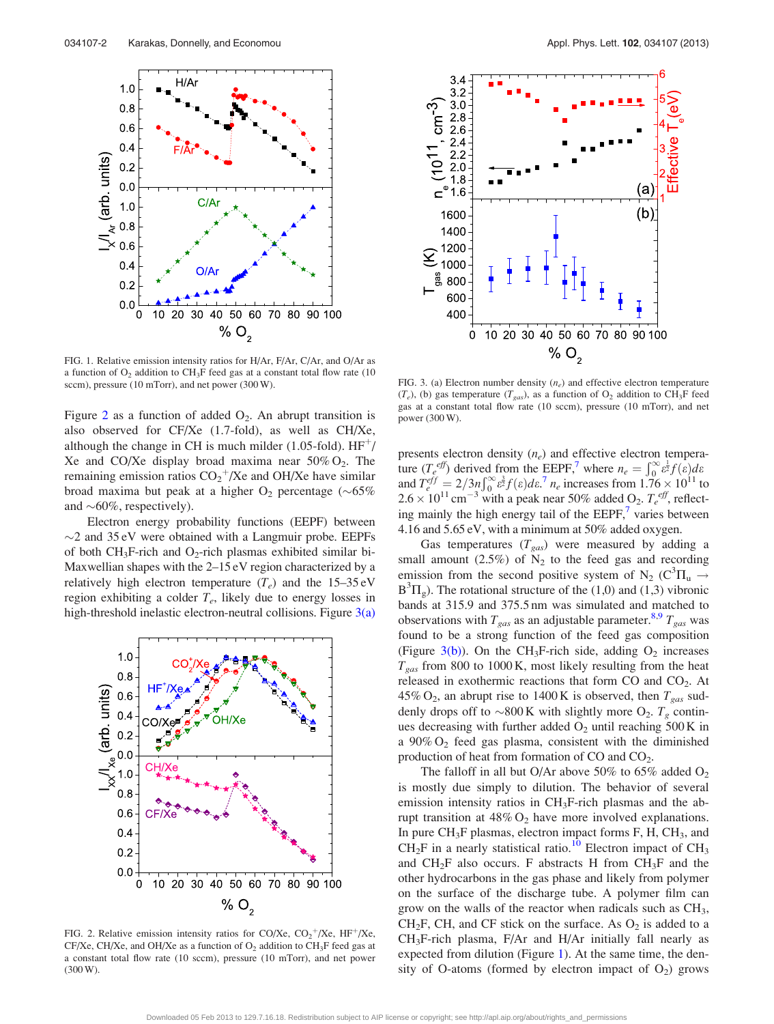<span id="page-1-0"></span>

FIG. 1. Relative emission intensity ratios for H/Ar, F/Ar, C/Ar, and O/Ar as a function of  $O_2$  addition to CH<sub>3</sub>F feed gas at a constant total flow rate (10) sccm), pressure (10 mTorr), and net power (300 W).

Figure 2 as a function of added  $O_2$ . An abrupt transition is also observed for CF/Xe (1.7-fold), as well as CH/Xe, although the change in CH is much milder (1.05-fold).  $HF^+$ / Xe and CO/Xe display broad maxima near  $50\%$  O<sub>2</sub>. The remaining emission ratios  $CO_2^+/Xe$  and OH/Xe have similar broad maxima but peak at a higher  $O_2$  percentage (~65%) and  $\sim 60\%$ , respectively).

Electron energy probability functions (EEPF) between  $\sim$ 2 and 35 eV were obtained with a Langmuir probe. EEPFs of both CH<sub>3</sub>F-rich and O<sub>2</sub>-rich plasmas exhibited similar bi-Maxwellian shapes with the 2–15 eV region characterized by a relatively high electron temperature  $(T_e)$  and the 15–35 eV region exhibiting a colder  $T_e$ , likely due to energy losses in high-threshold inelastic electron-neutral collisions. Figure  $3(a)$ 



FIG. 2. Relative emission intensity ratios for CO/Xe,  $CO_2^+/Xe$ , HF<sup>+</sup>/Xe,  $CF/Xe$ , CH/Xe, and OH/Xe as a function of  $O<sub>2</sub>$  addition to CH<sub>3</sub>F feed gas at a constant total flow rate (10 sccm), pressure (10 mTorr), and net power (300 W).



FIG. 3. (a) Electron number density  $(n_e)$  and effective electron temperature  $(T_e)$ , (b) gas temperature  $(T_{gas})$ , as a function of  $O_2$  addition to CH<sub>3</sub>F feed gas at a constant total flow rate (10 sccm), pressure (10 mTorr), and net power (300 W).

presents electron density  $(n_e)$  and effective electron temperature  $(T_e^{eff})$  derived from the EEPF,<sup>[7](#page-3-0)</sup> where  $n_e = \int_0^\infty e^{\frac{1}{2}f}(\varepsilon)d\varepsilon$ and  $T_{e}^{eff} = 2/3n \int_0^\infty \varepsilon^3 f(\varepsilon) d\varepsilon^7 n_e$  $T_{e}^{eff} = 2/3n \int_0^\infty \varepsilon^3 f(\varepsilon) d\varepsilon^7 n_e$  $T_{e}^{eff} = 2/3n \int_0^\infty \varepsilon^3 f(\varepsilon) d\varepsilon^7 n_e$  increases from  $1.76 \times 10^{11}$  to  $2.6 \times 10^{11}$  cm<sup>-3</sup> with a peak near 50% added O<sub>2</sub>.  $T_e^{eff}$ , reflecting mainly the high energy tail of the  $EEPF<sub>1</sub><sup>7</sup>$  $EEPF<sub>1</sub><sup>7</sup>$  $EEPF<sub>1</sub><sup>7</sup>$  varies between 4.16 and 5.65 eV, with a minimum at 50% added oxygen.

Gas temperatures  $(T_{gas})$  were measured by adding a small amount (2.5%) of  $N_2$  to the feed gas and recording emission from the second positive system of N<sub>2</sub> (C<sup>3</sup> $\Pi_u \rightarrow$  $B^{3}\Pi_{g}$ ). The rotational structure of the (1,0) and (1,3) vibronic bands at 315.9 and 375.5 nm was simulated and matched to observations with  $T_{gas}$  as an adjustable parameter.<sup>8,9</sup>  $T_{gas}$  was found to be a strong function of the feed gas composition (Figure 3(b)). On the CH<sub>3</sub>F-rich side, adding  $O_2$  increases  $T_{gas}$  from 800 to 1000 K, most likely resulting from the heat released in exothermic reactions that form  $CO$  and  $CO<sub>2</sub>$ . At 45% O<sub>2</sub>, an abrupt rise to 1400 K is observed, then  $T_{gas}$  suddenly drops off to  $\sim$ 800 K with slightly more O<sub>2</sub>.  $T_g$  continues decreasing with further added  $O_2$  until reaching 500 K in a  $90\% O_2$  feed gas plasma, consistent with the diminished production of heat from formation of  $CO$  and  $CO<sub>2</sub>$ .

The falloff in all but O/Ar above 50% to 65% added  $O_2$ is mostly due simply to dilution. The behavior of several emission intensity ratios in CH3F-rich plasmas and the abrupt transition at  $48\%$  O<sub>2</sub> have more involved explanations. In pure  $CH_3F$  plasmas, electron impact forms  $F$ ,  $H$ ,  $CH_3$ , and  $CH<sub>2</sub>F$  in a nearly statistical ratio.<sup>[10](#page-3-0)</sup> Electron impact of CH<sub>3</sub> and  $CH_2F$  also occurs. F abstracts H from  $CH_3F$  and the other hydrocarbons in the gas phase and likely from polymer on the surface of the discharge tube. A polymer film can grow on the walls of the reactor when radicals such as  $CH<sub>3</sub>$ ,  $CH_2F$ , CH, and CF stick on the surface. As  $O_2$  is added to a CH3F-rich plasma, F/Ar and H/Ar initially fall nearly as expected from dilution (Figure 1). At the same time, the density of O-atoms (formed by electron impact of  $O_2$ ) grows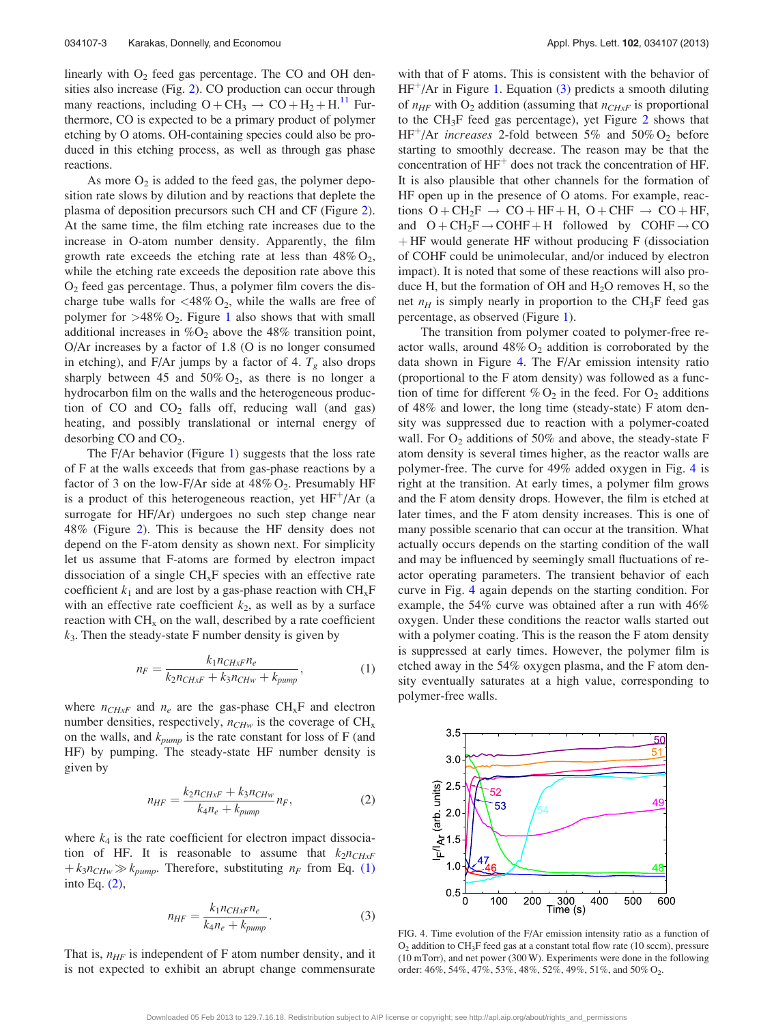linearly with  $O_2$  feed gas percentage. The CO and OH densities also increase (Fig. [2](#page-1-0)). CO production can occur through many reactions, including  $O + CH_3 \rightarrow CO + H_2 + H^{11}$  Furthermore, CO is expected to be a primary product of polymer etching by O atoms. OH-containing species could also be produced in this etching process, as well as through gas phase reactions.

As more  $O_2$  is added to the feed gas, the polymer deposition rate slows by dilution and by reactions that deplete the plasma of deposition precursors such CH and CF (Figure [2](#page-1-0)). At the same time, the film etching rate increases due to the increase in O-atom number density. Apparently, the film growth rate exceeds the etching rate at less than  $48\%$  O<sub>2</sub>, while the etching rate exceeds the deposition rate above this  $O<sub>2</sub>$  feed gas percentage. Thus, a polymer film covers the discharge tube walls for  $\langle 48\% O_2$ , while the walls are free of polymer for  $>48\%$  O<sub>2</sub>. Figure [1](#page-1-0) also shows that with small additional increases in  $\%O_2$  above the 48% transition point, O/Ar increases by a factor of 1.8 (O is no longer consumed in etching), and F/Ar jumps by a factor of 4.  $T_g$  also drops sharply between 45 and  $50\%$  O<sub>2</sub>, as there is no longer a hydrocarbon film on the walls and the heterogeneous production of CO and  $CO<sub>2</sub>$  falls off, reducing wall (and gas) heating, and possibly translational or internal energy of desorbing  $CO$  and  $CO<sub>2</sub>$ .

The F/Ar behavior (Figure [1\)](#page-1-0) suggests that the loss rate of F at the walls exceeds that from gas-phase reactions by a factor of 3 on the low-F/Ar side at  $48\%$  O<sub>2</sub>. Presumably HF is a product of this heterogeneous reaction, yet  $HF^+/Ar$  (a surrogate for HF/Ar) undergoes no such step change near 48% (Figure [2](#page-1-0)). This is because the HF density does not depend on the F-atom density as shown next. For simplicity let us assume that F-atoms are formed by electron impact dissociation of a single  $CH_xF$  species with an effective rate coefficient  $k_1$  and are lost by a gas-phase reaction with  $\text{CH}_x\text{F}$ with an effective rate coefficient  $k_2$ , as well as by a surface reaction with  $CH<sub>x</sub>$  on the wall, described by a rate coefficient  $k_3$ . Then the steady-state F number density is given by

$$
n_F = \frac{k_1 n_{CHxF} n_e}{k_2 n_{CHxF} + k_3 n_{CHw} + k_{pump}},\tag{1}
$$

where  $n_{CHxF}$  and  $n_e$  are the gas-phase CH<sub>x</sub>F and electron number densities, respectively,  $n_{CHw}$  is the coverage of  $CH<sub>x</sub>$ on the walls, and  $k_{pump}$  is the rate constant for loss of F (and HF) by pumping. The steady-state HF number density is given by

$$
n_{HF} = \frac{k_2 n_{CHxF} + k_3 n_{CHw}}{k_4 n_e + k_{pump}} n_F,
$$
\n<sup>(2)</sup>

where  $k_4$  is the rate coefficient for electron impact dissociation of HF. It is reasonable to assume that  $k_2n_{CHxF}$  $+ k_3 n_{CHw} \gg k_{pump}$ . Therefore, substituting  $n_F$  from Eq. (1) into Eq. (2),

$$
n_{HF} = \frac{k_1 n_{CHxF} n_e}{k_4 n_e + k_{pump}}.
$$
\n(3)

That is,  $n_{HF}$  is independent of F atom number density, and it is not expected to exhibit an abrupt change commensurate with that of F atoms. This is consistent with the behavior of  $HF<sup>+</sup>/Ar$  in Figure [1](#page-1-0). Equation (3) predicts a smooth diluting of  $n_{HF}$  with O<sub>2</sub> addition (assuming that  $n_{CHxF}$  is proportional to the CH3F feed gas percentage), yet Figure [2](#page-1-0) shows that  $HF^+/Ar$  increases 2-fold between 5% and 50% O<sub>2</sub> before starting to smoothly decrease. The reason may be that the concentration of  $HF<sup>+</sup>$  does not track the concentration of HF. It is also plausible that other channels for the formation of HF open up in the presence of O atoms. For example, reactions  $O + CH_2F \rightarrow CO + HF + H$ ,  $O + CHF \rightarrow CO + HF$ , and  $O + CH_2F \rightarrow COHF + H$  followed by  $COHF \rightarrow CO$  $+$  HF would generate HF without producing F (dissociation of COHF could be unimolecular, and/or induced by electron impact). It is noted that some of these reactions will also produce H, but the formation of OH and  $H_2O$  removes H, so the net  $n_H$  is simply nearly in proportion to the CH<sub>3</sub>F feed gas percentage, as observed (Figure [1](#page-1-0)).

The transition from polymer coated to polymer-free reactor walls, around  $48\%$  O<sub>2</sub> addition is corroborated by the data shown in Figure 4. The F/Ar emission intensity ratio (proportional to the F atom density) was followed as a function of time for different  $\%$  O<sub>2</sub> in the feed. For O<sub>2</sub> additions of 48% and lower, the long time (steady-state) F atom density was suppressed due to reaction with a polymer-coated wall. For  $O_2$  additions of 50% and above, the steady-state F atom density is several times higher, as the reactor walls are polymer-free. The curve for 49% added oxygen in Fig. 4 is right at the transition. At early times, a polymer film grows and the F atom density drops. However, the film is etched at later times, and the F atom density increases. This is one of many possible scenario that can occur at the transition. What actually occurs depends on the starting condition of the wall and may be influenced by seemingly small fluctuations of reactor operating parameters. The transient behavior of each curve in Fig. 4 again depends on the starting condition. For example, the 54% curve was obtained after a run with 46% oxygen. Under these conditions the reactor walls started out with a polymer coating. This is the reason the F atom density is suppressed at early times. However, the polymer film is etched away in the 54% oxygen plasma, and the F atom density eventually saturates at a high value, corresponding to polymer-free walls.



FIG. 4. Time evolution of the F/Ar emission intensity ratio as a function of  $O<sub>2</sub>$  addition to CH<sub>3</sub>F feed gas at a constant total flow rate (10 sccm), pressure (10 mTorr), and net power (300 W). Experiments were done in the following order: 46%, 54%, 47%, 53%, 48%, 52%, 49%, 51%, and 50% O<sub>2</sub>.